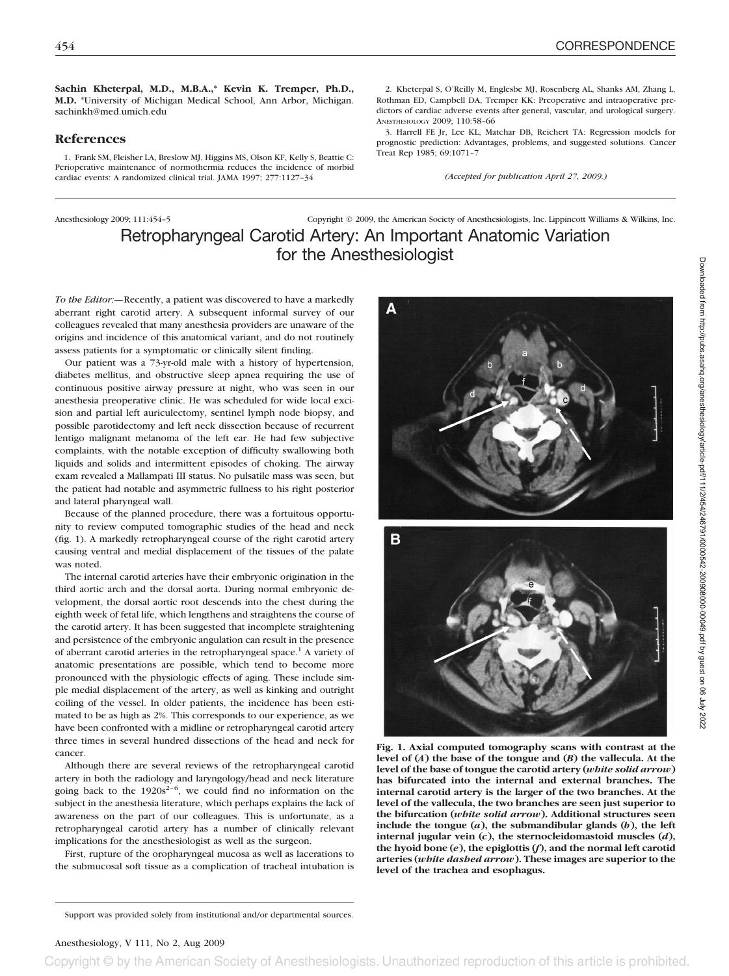**Sachin Kheterpal, M.D., M.B.A.,\* Kevin K. Tremper, Ph.D., M.D.** \*University of Michigan Medical School, Ann Arbor, Michigan. sachinkh@med.umich.edu

## **References**

1. Frank SM, Fleisher LA, Breslow MJ, Higgins MS, Olson KF, Kelly S, Beattie C: Perioperative maintenance of normothermia reduces the incidence of morbid cardiac events: A randomized clinical trial. JAMA 1997; 277:1127–34

2. Kheterpal S, O'Reilly M, Englesbe MJ, Rosenberg AL, Shanks AM, Zhang L, Rothman ED, Campbell DA, Tremper KK: Preoperative and intraoperative predictors of cardiac adverse events after general, vascular, and urological surgery. ANESTHESIOLOGY 2009; 110:58–66

3. Harrell FE Jr, Lee KL, Matchar DB, Reichert TA: Regression models for prognostic prediction: Advantages, problems, and suggested solutions. Cancer Treat Rep 1985; 69:1071–7

*(Accepted for publication April 27, 2009.)*

# Anesthesiology 2009; 111:454–5 Copyright © 2009, the American Society of Anesthesiologists, Inc. Lippincott Williams & Wilkins, Inc.

Retropharyngeal Carotid Artery: An Important Anatomic Variation for the Anesthesiologist

*To the Editor:—*Recently, a patient was discovered to have a markedly aberrant right carotid artery. A subsequent informal survey of our colleagues revealed that many anesthesia providers are unaware of the origins and incidence of this anatomical variant, and do not routinely assess patients for a symptomatic or clinically silent finding.

Our patient was a 73-yr-old male with a history of hypertension, diabetes mellitus, and obstructive sleep apnea requiring the use of continuous positive airway pressure at night, who was seen in our anesthesia preoperative clinic. He was scheduled for wide local excision and partial left auriculectomy, sentinel lymph node biopsy, and possible parotidectomy and left neck dissection because of recurrent lentigo malignant melanoma of the left ear. He had few subjective complaints, with the notable exception of difficulty swallowing both liquids and solids and intermittent episodes of choking. The airway exam revealed a Mallampati III status. No pulsatile mass was seen, but the patient had notable and asymmetric fullness to his right posterior and lateral pharyngeal wall.

Because of the planned procedure, there was a fortuitous opportunity to review computed tomographic studies of the head and neck (fig. 1). A markedly retropharyngeal course of the right carotid artery causing ventral and medial displacement of the tissues of the palate was noted.

The internal carotid arteries have their embryonic origination in the third aortic arch and the dorsal aorta. During normal embryonic development, the dorsal aortic root descends into the chest during the eighth week of fetal life, which lengthens and straightens the course of the carotid artery. It has been suggested that incomplete straightening and persistence of the embryonic angulation can result in the presence of aberrant carotid arteries in the retropharyngeal space.<sup>1</sup> A variety of anatomic presentations are possible, which tend to become more pronounced with the physiologic effects of aging. These include simple medial displacement of the artery, as well as kinking and outright coiling of the vessel. In older patients, the incidence has been estimated to be as high as 2%. This corresponds to our experience, as we have been confronted with a midline or retropharyngeal carotid artery three times in several hundred dissections of the head and neck for cancer.

Although there are several reviews of the retropharyngeal carotid artery in both the radiology and laryngology/head and neck literature going back to the  $1920s^{2-6}$ , we could find no information on the subject in the anesthesia literature, which perhaps explains the lack of awareness on the part of our colleagues. This is unfortunate, as a retropharyngeal carotid artery has a number of clinically relevant implications for the anesthesiologist as well as the surgeon.

First, rupture of the oropharyngeal mucosa as well as lacerations to the submucosal soft tissue as a complication of tracheal intubation is





**Fig. 1. Axial computed tomography scans with contrast at the level of (***A***) the base of the tongue and (***B***) the vallecula. At the level of the base of tongue the carotid artery (***white solid arrow***) has bifurcated into the internal and external branches. The internal carotid artery is the larger of the two branches. At the level of the vallecula, the two branches are seen just superior to the bifurcation (***white solid arrow***). Additional structures seen include the tongue (***a***), the submandibular glands (***b***), the left internal jugular vein (***c***), the sternocleidomastoid muscles (***d***), the hyoid bone (***e***), the epiglottis (***f***), and the normal left carotid arteries (***white dashed arrow***). These images are superior to the level of the trachea and esophagus.**

Support was provided solely from institutional and/or departmental sources.

### Anesthesiology, V 111, No 2, Aug 2009